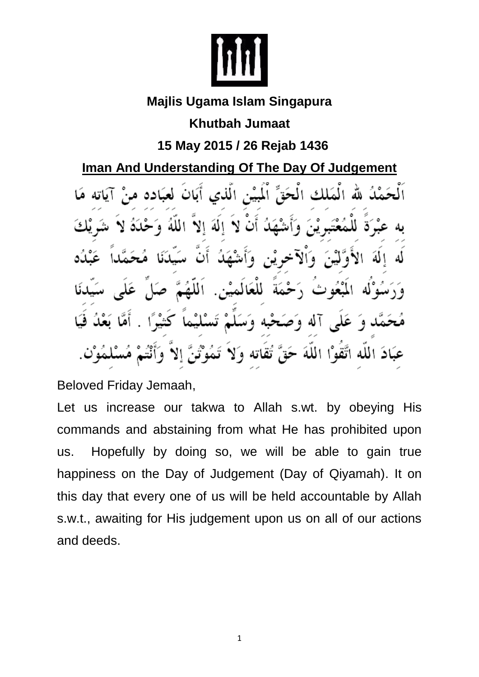

## **Majlis Ugama Islam Singapura**

**Khutbah Jumaat**

**15 May 2015 / 26 Rejab 1436**

**Iman And Understanding Of The Day Of Judgement** 

الْمَلْكِ الْحَقِّ الْمَيْنِ الَّذِي أَبَانَ لَع  $\Delta$ المة للعكاء al T ه د عَبَادَ الله اتَّقوْا اللَّهَ تقاته ، ن ٧q

Beloved Friday Jemaah,

Let us increase our takwa to Allah s.wt. by obeying His commands and abstaining from what He has prohibited upon us. Hopefully by doing so, we will be able to gain true happiness on the Day of Judgement (Day of Qiyamah). It on this day that every one of us will be held accountable by Allah s.w.t., awaiting for His judgement upon us on all of our actions and deeds.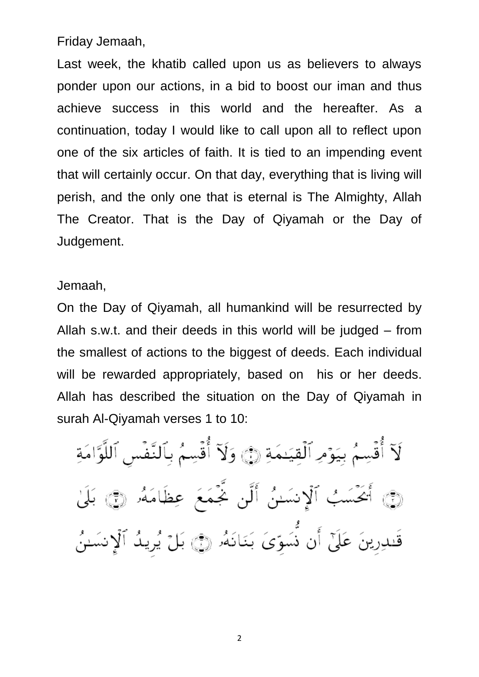Friday Jemaah,

Last week, the khatib called upon us as believers to always ponder upon our actions, in a bid to boost our iman and thus achieve success in this world and the hereafter. As a continuation, today I would like to call upon all to reflect upon one of the six articles of faith. It is tied to an impending event that will certainly occur. On that day, everything that is living will perish, and the only one that is eternal is The Almighty, Allah The Creator. That is the Day of Qiyamah or the Day of Judgement.

Jemaah,

On the Day of Qiyamah, all humankind will be resurrected by Allah s.w.t. and their deeds in this world will be judged – from the smallest of actions to the biggest of deeds. Each individual will be rewarded appropriately, based on his or her deeds. Allah has described the situation on the Day of Qiyamah in surah Al-Qiyamah verses 1 to 10:

لَآ أُقۡسِمُ بِيَوۡمِ ٱلۡقِيَـٰمَةِ ۞ وَلَآ أُقۡسِمُ بِٱلنَّفۡسِ ٱللَّوَّامَةِ ۞ أَيَحْسَبُ ٱلْإِنسَىُٰ أَلَّن يَّحْمَعَ عِظَامَهُۥ ۞ بَلَىٰ قَنْدِرِينَ عَلَىٰٓ أَن نُسَوِّيَ بَنَانَهُۥ ۞ بَلْ يُرِيدُ ٱلْإِنسَـٰنُ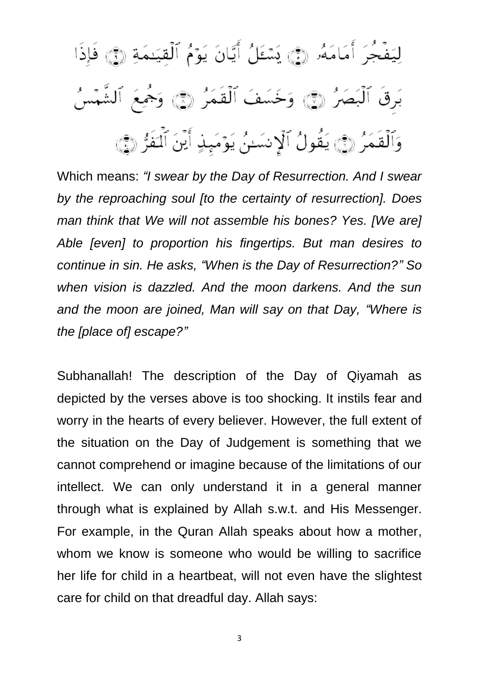لِيَفْجُرَ أَمَامَةُر (فِي يَسْئَلُ أَيَّانَ يَوْمُ ٱلْقِيَنِمَةِ (فِي فَإِذَا بَرِقَ ٱلْبَصَرُ ۞ وَخَسَفَ ٱلْقَمَرُ ۞ وَجُمِعَ ٱلشَّمْسُ وَٱلۡقَمَرُ ۞ يَقُولُ ٱلۡإِنسَنُ يَوۡمَىٰۭ أَيۡنَ ٱلۡفَرُّ ۞

Which means: *"I swear by the Day of Resurrection. And I swear by the reproaching soul [to the certainty of resurrection]. Does man think that We will not assemble his bones? Yes. [We are] Able [even] to proportion his fingertips. But man desires to continue in sin. He asks, "When is the Day of Resurrection?" So when vision is dazzled. And the moon darkens. And the sun and the moon are joined, Man will say on that Day, "Where is the [place of] escape?"*

Subhanallah! The description of the Day of Qiyamah as depicted by the verses above is too shocking. It instils fear and worry in the hearts of every believer. However, the full extent of the situation on the Day of Judgement is something that we cannot comprehend or imagine because of the limitations of our intellect. We can only understand it in a general manner through what is explained by Allah s.w.t. and His Messenger. For example, in the Quran Allah speaks about how a mother, whom we know is someone who would be willing to sacrifice her life for child in a heartbeat, will not even have the slightest care for child on that dreadful day. Allah says:

3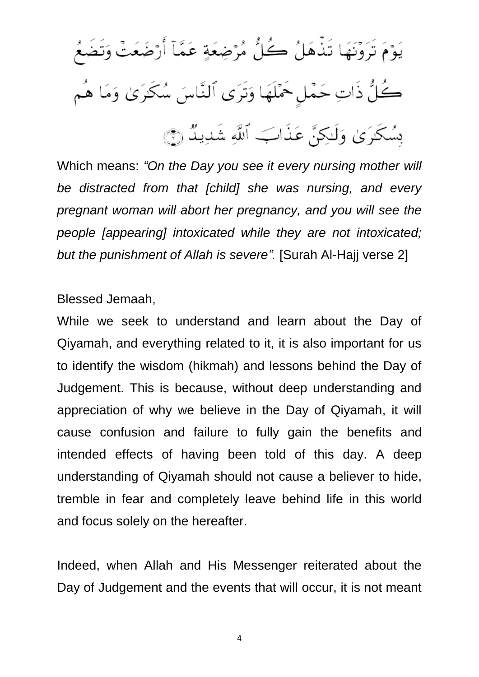يَوْمَ تَرَوْنَهَا تَذْهَلُ كُلُّ مُرْضِعَةٍ عَمَّآ أَرْضَعَتْ وَتَضَعُ \_<br>كُلُّ ذَاتِ حَمْلٍ حَمْلَهَا وَتَرَى ٱلنَّاسَ سُكَرَىٰ وَمَا هُم بِسُكَرَىٰ وَلَٰكِنَّ عَذَابَ ٱللَّهِ شَدِيدٌ (َجَ

Which means: *"On the Day you see it every nursing mother will be distracted from that [child] she was nursing, and every pregnant woman will abort her pregnancy, and you will see the people [appearing] intoxicated while they are not intoxicated; but the punishment of Allah is severe".* [Surah Al-Hajj verse 2]

Blessed Jemaah,

While we seek to understand and learn about the Day of Qiyamah, and everything related to it, it is also important for us to identify the wisdom (hikmah) and lessons behind the Day of Judgement. This is because, without deep understanding and appreciation of why we believe in the Day of Qiyamah, it will cause confusion and failure to fully gain the benefits and intended effects of having been told of this day. A deep understanding of Qiyamah should not cause a believer to hide, tremble in fear and completely leave behind life in this world and focus solely on the hereafter.

Indeed, when Allah and His Messenger reiterated about the Day of Judgement and the events that will occur, it is not meant

4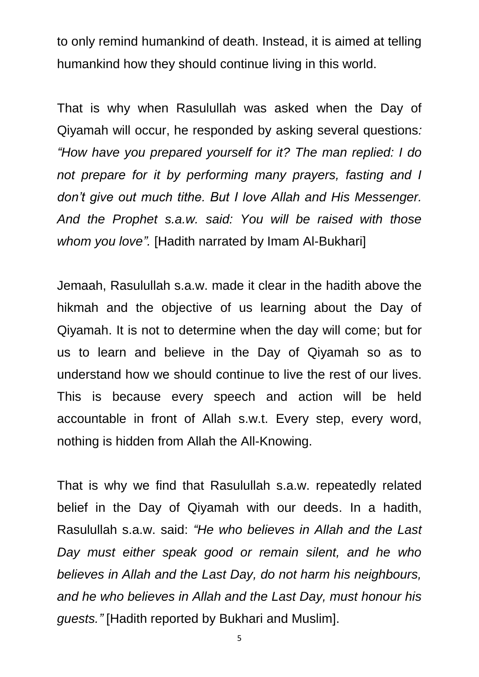to only remind humankind of death. Instead, it is aimed at telling humankind how they should continue living in this world.

That is why when Rasulullah was asked when the Day of Qiyamah will occur, he responded by asking several questions*: "How have you prepared yourself for it? The man replied: I do not prepare for it by performing many prayers, fasting and I don't give out much tithe. But I love Allah and His Messenger. And the Prophet s.a.w. said: You will be raised with those whom you love".* [Hadith narrated by Imam Al-Bukhari]

Jemaah, Rasulullah s.a.w. made it clear in the hadith above the hikmah and the objective of us learning about the Day of Qiyamah. It is not to determine when the day will come; but for us to learn and believe in the Day of Qiyamah so as to understand how we should continue to live the rest of our lives. This is because every speech and action will be held accountable in front of Allah s.w.t. Every step, every word, nothing is hidden from Allah the All-Knowing.

That is why we find that Rasulullah s.a.w. repeatedly related belief in the Day of Qiyamah with our deeds. In a hadith, Rasulullah s.a.w. said: *"He who believes in Allah and the Last Day must either speak good or remain silent, and he who believes in Allah and the Last Day, do not harm his neighbours, and he who believes in Allah and the Last Day, must honour his guests."* [Hadith reported by Bukhari and Muslim].

5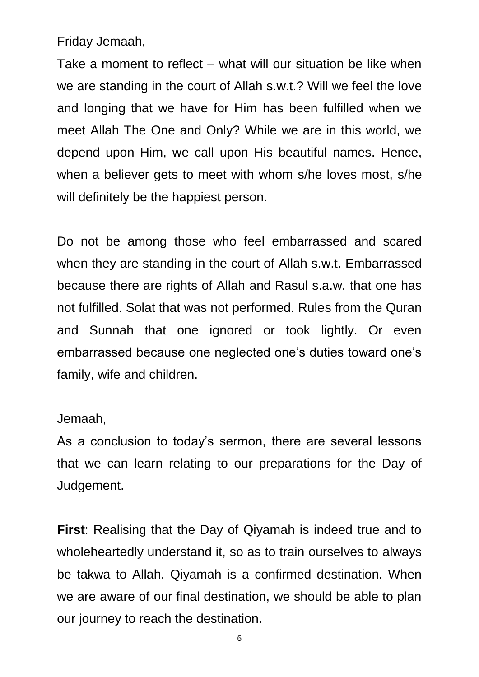Friday Jemaah,

Take a moment to reflect – what will our situation be like when we are standing in the court of Allah s.w.t.? Will we feel the love and longing that we have for Him has been fulfilled when we meet Allah The One and Only? While we are in this world, we depend upon Him, we call upon His beautiful names. Hence, when a believer gets to meet with whom s/he loves most, s/he will definitely be the happiest person.

Do not be among those who feel embarrassed and scared when they are standing in the court of Allah s.w.t. Embarrassed because there are rights of Allah and Rasul s.a.w. that one has not fulfilled. Solat that was not performed. Rules from the Quran and Sunnah that one ignored or took lightly. Or even embarrassed because one neglected one's duties toward one's family, wife and children.

## Jemaah,

As a conclusion to today's sermon, there are several lessons that we can learn relating to our preparations for the Day of Judgement.

**First**: Realising that the Day of Qiyamah is indeed true and to wholeheartedly understand it, so as to train ourselves to always be takwa to Allah. Qiyamah is a confirmed destination. When we are aware of our final destination, we should be able to plan our journey to reach the destination.